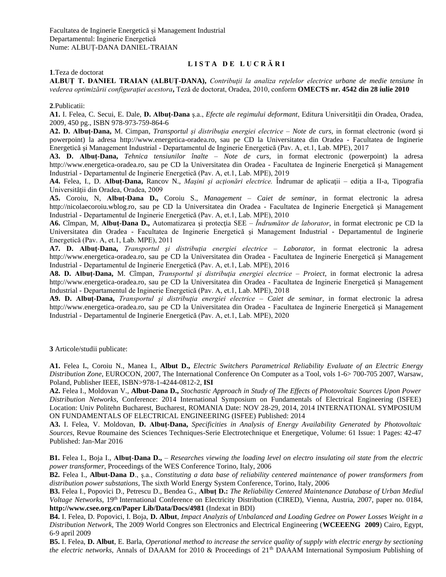Facultatea de Inginerie Energetică și Management Industrial Departamentul: Inginerie Energetică Nume: ALBUȚ-DANA DANIEL-TRAIAN

## **L I S T A D E L U C R Ă R I**

**1**.Teza de doctorat

**ALBUŢ T. DANIEL TRAIAN (ALBUŢ-DANA),** *Contribuţii la analiza reţelelor electrice urbane de medie tensiune în vederea optimizării configuraţiei acestora***,** Teză de doctorat, Oradea, 2010, conform **[OMECTS nr. 4542 din 28 iulie 2010](http://www.uoradea.ro/attachment/791672704232e82e41d0a31a6bc16159/54120763d3a6c157f90568f85a66d927/OMECTS_4542_28_07_2010.pdf)**

**2**.Publicatii:

**A1.** I. Felea, C. Secui, E. Dale, **D. Albuţ-Dana** ş.a., *Efecte ale regimului deformant*, Editura Universităţii din Oradea, Oradea, 2009, 450 pg., ISBN 978-973-759-864-6

**A2. D. Albuţ-Dana,** M. Cimpan, *Transportul şi distribuţia energiei electrice – Note de curs,* in format electronic (word şi powerpoint) la adresa http://www.energetica-oradea.ro, sau pe CD la Universitatea din Oradea - Facultatea de Inginerie Energetică şi Management Industrial - Departamentul de Inginerie Energetică (Pav. A, et.1, Lab. MPE), 2017

**A3. D. Albuţ-Dana,** *Tehnica tensiunilor înalte – Note de curs,* in format electronic (powerpoint) la adresa http://www.energetica-oradea.ro, sau pe CD la Universitatea din Oradea - Facultatea de Inginerie Energetică şi Management Industrial - Departamentul de Inginerie Energetică (Pav. A, et.1, Lab. MPE), 2019

**A4.** Felea, I., D. **Albuţ-Dana,** Rancov N., *Maşini şi acţionări electrice.* Îndrumar de aplicaţii – ediţia a II-a, Tipografia Universităţii din Oradea, Oradea, 2009

**A5.** Coroiu, N, **Albuţ-Dana D.,** Coroiu S., *Management – Caiet de seminar*, in format electronic la adresa http://nicolaecoroiu.wblog.ro, sau pe CD la Universitatea din Oradea - Facultatea de Inginerie Energetică şi Management Industrial - Departamentul de Inginerie Energetică (Pav. A, et.1, Lab. MPE), 2010

**A6.** Cîmpan, M, **Albuţ-Dana D.,** Automatizarea şi protecţia SEE *– Îndrumător de laborator*, in format electronic pe CD la Universitatea din Oradea - Facultatea de Inginerie Energetică şi Management Industrial - Departamentul de Inginerie Energetică (Pav. A, et.1, Lab. MPE), 2011

**A7. D. Albuţ-Dana,** *Transportul şi distribuţia energiei electrice – Laborator,* in format electronic la adresa http://www.energetica-oradea.ro, sau pe CD la Universitatea din Oradea - Facultatea de Inginerie Energetică şi Management Industrial - Departamentul de Inginerie Energetică (Pav. A, et.1, Lab. MPE), 2016

**A8. D. Albuţ-Dana,** M. Cîmpan, *Transportul şi distribuţia energiei electrice – Proiect,* in format electronic la adresa http://www.energetica-oradea.ro, sau pe CD la Universitatea din Oradea - Facultatea de Inginerie Energetică şi Management Industrial - Departamentul de Inginerie Energetică (Pav. A, et.1, Lab. MPE), 2018

**A9. D. Albuţ-Dana,** *Transportul şi distribuţia energiei electrice – Caiet de seminar,* in format electronic la adresa http://www.energetica-oradea.ro, sau pe CD la Universitatea din Oradea - Facultatea de Inginerie Energetică şi Management Industrial - Departamentul de Inginerie Energetică (Pav. A, et.1, Lab. MPE), 2020

**3** Articole/studii publicate:

**A1.** Felea I**.**, Coroiu N., Manea I., **Albut D.,** *Electric Switchers Parametrical Reliability Evaluate of an Electric Energy Distribution Zone*, EUROCON, 2007, The International Conference On Computer as a Tool, vols 1-6> 700-705 2007, Warsaw, Poland, Publisher IEEE, ISBN>978-1-4244-0812-2, **ISI**

**A2.** Felea I., Moldovan V., **Albut-Dana D.,** *Stochastic Approach in Study of The Effects of Photovoltaic Sources Upon Power Distribution Networks,* Conference: 2014 International Symposium on Fundamentals of Electrical Engineering (ISFEE) Location: Univ Politehn Bucharest, Bucharest, ROMANIA Date: NOV 28-29, 2014, 2014 INTERNATIONAL SYMPOSIUM ON FUNDAMENTALS OF ELECTRICAL ENGINEERING (ISFEE) Published: 2014

**A3.** I. Felea, V. Moldovan, **D. Albuţ-Dana,** *[Specificities in Analysis of Energy Availability Generated by Photovoltaic](http://apps.webofknowledge.com/full_record.do?product=WOS&search_mode=GeneralSearch&qid=2&SID=R2LfGxUG6kb4bWBIHOF&page=1&doc=1&cacheurlFromRightClick=no)  [Sources](http://apps.webofknowledge.com/full_record.do?product=WOS&search_mode=GeneralSearch&qid=2&SID=R2LfGxUG6kb4bWBIHOF&page=1&doc=1&cacheurlFromRightClick=no)*, [Revue Roumaine des Sciences Techniques-Serie Electrotechnique et Energetique,](javascript:;) Volume: 61 Issue: 1 Pages: 42-47 Published: Jan-Mar 2016

**B1.** Felea I., Boja I., **Albuţ-Dana D.,** – *Researches viewing the loading level on electro insulating oil state from the electric power transformer*, Proceedings of the WES Conference Torino, Italy, 2006

**B2.** Felea I., **Albut-Dana D**., ş.a., *Constituting a data base of reliability centered maintenance of power transformers from distribution power substations*, The sixth World Energy System Conference, Torino, Italy, 2006

**B3.** Felea I., Popovici D., Petrescu D., Bendea G., **Albuţ D.:** *The Reliability Centered Maintenance Database of Urban Mediul Voltage Networks*, 19<sup>th</sup> International Conference on Electricity Distribution (CIRED), Vienna, Austria, 2007, paper no. 0184, **http://www.csee.org.cn/Paper Lib/Data/Docs/4981** (Indexat in BDI)

**B4.** I. Felea, D. Popovici, I. Boja, **D. Albut**, *Impact Analyzis of Unbalanced and Loading Gedree on Power Losses Weight in a Distribution Network*, The 2009 World Congres son Electronics and Electrical Engineering (**WCEEENG 2009**) Cairo, Egypt, 6-9 april 2009

**B5.** I. Felea, **D. Albut**, E. Barla, *Operational method to increase the service quality of supply with electric energy by sectioning the electric networks*, Annals of DAAAM for 2010 & Proceedings of 21<sup>th</sup> DAAAM International Symposium Publishing of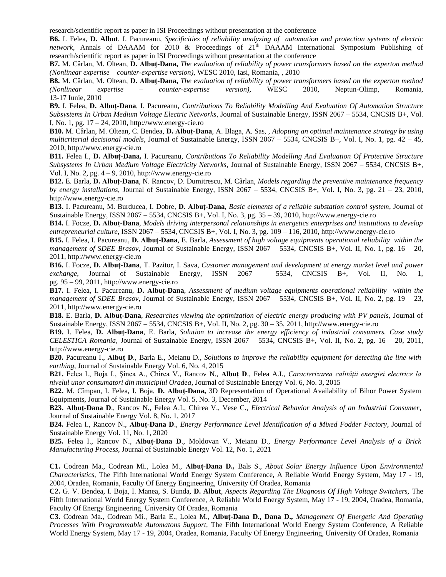research/scientific report as paper in ISI Proceedings without presentation at the conference

**B6.** I. Felea, **D. Albut**, I. Pacureanu, *Specificities of reliability analyzing of automation and protection systems of electric*  network, Annals of DAAAM for 2010 & Proceedings of 21<sup>th</sup> DAAAM International Symposium Publishing of research/scientific report as paper in ISI Proceedings without presentation at the conference

**B7.** M. Cârlan, M. Oltean, **D. Albuţ-Dana,** *The evaluation of reliability of power transformers based on the experton method (Nonlinear expertise – counter-expertise version),* WESC 2010, Iasi, Romania, , 2010

**B8.** M. Cârlan, M. Oltean, **D. Albuţ-Dana,** *The evaluation of reliability of power transformers based on the experton method (Nonlinear expertise – counter-expertise version),* WESC 2010, Neptun-Olimp, Romania, 13-17 Iunie, 2010

**B9.** I. Felea, **D. Albuţ-Dana**, I. Pacureanu, *Contributions To Reliability Modelling And Evaluation Of Automation Structure Subsystems In Urban Medium Voltage Electric Networks*, Journal of Sustainable Energy, ISSN 2067 – 5534, CNCSIS B+, Vol. I, No. 1, pg.  $17 - 24$ , 2010, http://www.energy-cie.ro

**B10.** M. Cârlan, M. Oltean, C. Bendea, **D. Albuţ-Dana**, A. Blaga, A. Sas, , *Adopting an optimal maintenance strategy by using multicriterial decisional models*, Journal of Sustainable Energy, ISSN 2067 – 5534, CNCSIS B+, Vol. I, No. 1, pg. 42 – 45, 2010, http://www.energy-cie.ro

**B11.** Felea I., **D. Albuţ-Dana,** I. Pacureanu, *Contributions To Reliability Modelling And Evaluation Of Protective Structure Subsystems In Urban Medium Voltage Electricity Networks,* Journal of Sustainable Energy, ISSN 2067 – 5534, CNCSIS B+, Vol. I, No. 2, pg. 4 – 9, 2010, http://www.energy-cie.ro

**B12.** E. Barla, **D. Albuţ-Dana**, N. Rancov, D. Dumitrescu, M. Cârlan, *Models regarding the preventive maintenance frequency by energy installations*, Journal of Sustainable Energy, ISSN  $2067 - 5534$ , CNCSIS B+, Vol. I, No. 3, pg.  $21 - 23$ , 2010, http://www.energy-cie.ro

**B13.** I. Pacureanu, M. Burducea, I. Dobre, **D. Albuţ-Dana**, *Basic elements of a reliable substation control system*, Journal of Sustainable Energy, ISSN 2067 – 5534, CNCSIS B+, Vol. I, No. 3, pg. 35 – 39, 2010, http://www.energy-cie.ro

**B14.** I. Focze, **D. Albuţ-Dana**, *Models driving interpersonal relationships in energetics enterprises and institutions to develop entrepreneurial culture*, ISSN 2067 – 5534, CNCSIS B+, Vol. I, No. 3, pg. 109 – 116, 2010, http://www.energy-cie.ro

**B15.** I. Felea, I. Pacureanu, **D. Albuţ-Dana**, E. Barla, *Assessment of high voltage equipments operational reliability within the management of SDEE Brasov*, Journal of Sustainable Energy, ISSN 2067 – 5534, CNCSIS B+, Vol. II, No. 1, pg. 16 – 20, 2011, http://www.energy-cie.ro

**B16.** I. Focze, **D. Albuţ-Dana**, T. Pazitor, I. Sava, *Customer management and development at energy market level and power exchange*, Journal of Sustainable Energy, ISSN 2067 – 5534, CNCSIS B+, Vol. II, No. 1, pg. 95 – 99, 2011, http://www.energy-cie.ro

**B17.** I. Felea, I. Pacureanu, **D. Albuţ-Dana**, *Assessment of medium voltage equipments operational reliability within the management of SDEE Brasov*, Journal of Sustainable Energy, ISSN 2067 – 5534, CNCSIS B+, Vol. II, No. 2, pg. 19 – 23, 2011, http://www.energy-cie.ro

**B18.** E. Barla, **D. Albuţ-Dana**, *Researches viewing the optimization of electric energy producing with PV panels,* Journal of Sustainable Energy, ISSN 2067 – 5534, CNCSIS B+, Vol. II, No. 2, pg. 30 – 35, 2011, http://www.energy-cie.ro

**B19.** I. Felea, **D. Albuţ-Dana**, E. Barla, *Solution to increase the energy efficiency of industrial consumers. Case study CELESTICA Romania*, Journal of Sustainable Energy, ISSN 2067 – 5534, CNCSIS B+, Vol. II, No. 2, pg. 16 – 20, 2011, http://www.energy-cie.ro

**B20.** Pacureanu I., **Albuț D**., Barla E., Meianu D., *Solutions to improve the reliability equipment for detecting the line with earthing*, Journal of Sustainable Energy Vol. 6, No. 4, 2015

**B21.** Felea I., Boja I., Șinca A., Chirea V., Rancov N., **Albuț D**., Felea A.I., *Caracterizarea calității energiei electrice la nivelul unor consumatori din municipiul Oradea*, Journal of Sustainable Energy Vol. 6, No. 3, 2015

**B22.** M. Cîmpan, I. Felea, I. Boja, **D. Albuţ-Dana,** 3D Representation of Operational Availability of Bihor Power System Equipments, Journal of Sustainable Energy Vol. 5, No. 3, December, 2014

**B23. Albuț-Dana D**., Rancov N., Felea A.I., Chirea V., Vese C., *[Electrical Behavior Analysis of an Industrial Consumer](http://www.energy-cie.ro/archives/2017/nr_1/v8-n1-5.pdf)*, Journal of Sustainable Energy Vol. 8, No. 1, 2017

**B24.** Felea I., Rancov N., **Albuț-Dana D**., *[Energy Performance Level Identification of a](http://www.energy-cie.ro/archives/2020/nr_1/v11-n1-8.pdf) Mixed Fodder Factory*, Journal of Sustainable Energy Vol. 11, No. 1, 2020

**B25.** Felea I., Rancov N., **Albuț-Dana D**., Moldovan V., Meianu D., *Energy Performance Level Analysis of a Brick Manufacturing Process,* Journal of Sustainable Energy Vol. 12, No. 1, 2021

**C1.** Codrean Ma., Codrean Mi., Lolea M., **Albuţ-Dana D.,** Bals S., *About Solar Energy Influence Upon Environmental Characteristics,* The Fifth International World Energy System Conference, A Reliable World Energy System, May 17 - 19, 2004, Oradea, Romania, Faculty Of Energy Engineering, University Of Oradea, Romania

**C2.** G. V. Bendea, I. Boja, I. Manea, S. Bunda, **D. Albut**, *Aspects Regarding The Diagnosis Of High Voltage Switchers,* The Fifth International World Energy System Conference, A Reliable World Energy System, May 17 - 19, 2004, Oradea, Romania, Faculty Of Energy Engineering, University Of Oradea, Romania

**C3.** Codrean Ma., Codrean Mi., Barla E., Lolea M., **Albuţ-Dana D., Dana D.,** *Management Of Energetic And Operating Processes With Programmable Automatons Support,* The Fifth International World Energy System Conference, A Reliable World Energy System, May 17 - 19, 2004, Oradea, Romania, Faculty Of Energy Engineering, University Of Oradea, Romania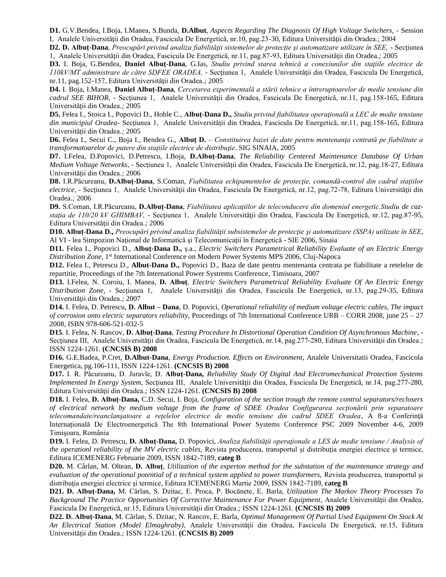**D1.** G.V.Bendea, I.Boja, I.Manea, S.Bunda, **D.Albut**, *Aspects Regarding The Diagnosis Of High Voltage Switchers,* - Session I, Analele Universităţii din Oradea, Fascicula De Energetică, nr.10, pag.23-30, Editura Universităţii din Oradea.; 2004

**D2. D. Albuţ-Dana**, *Preocupări privind analiza fiabilităţii sistemelor de protecţie şi automatizare utilizate în SEE,* - Secţiunea 1, Analele Universităţii din Oradea, Fascicula De Energetică, nr.11, pag.87-93, Editura Universităţii din Oradea.*;* 2005

**D3.** I. Boja, G.Bendea, **Daniel Albuţ-Dana**, G.Ias, *Studiu privind starea tehnică a conexiunilor din staţiile electrice de 110kV/MT administrare de către SDFEE ORADEA,* - Secţiunea 1, Analele Universităţii din Oradea, Fascicula De Energetică, nr.11, pag.152-157, Editura Universităţii din Oradea.*;* 2005

**D4.** I. Boja, I.Manea, **Daniel Albuţ-Dana**, *Cercetarea experimentală a stării tehnice a întreruptoarelor de medie tensiune din cadrul SEE BIHOR,* - Secţiunea 1, Analele Universităţii din Oradea, Fascicula De Energetică, nr.11, pag.158-165, Editura Universităţii din Oradea.*;* 2005

**D5.** Felea I., Stoica I., Popovici D., Hoble C., **Albuţ-Dana D.,** *Studiu privind fiabilitatea operaţională a LEC de medie tensiune din municipiul Oradea*- Secţiunea 1, Analele Universităţii din Oradea, Fascicula De Energetică, nr.11, pag.158-165, Editura Universităţii din Oradea.*;* 2005

**D6.** Felea I., Secui C., Boja I., Bendea G., **Albuţ D.** – *Constituirea bazei de date pentru mentenanţa centrată pe fiabilitate a transformatoarelor de putere din staţiile electrice de distribuţie*. SIG SINAIA, 2005

**D7.** I.Felea, D.Popovici, D.Petrescu, I.Boja, **D.Albuţ-Dana**, *The Reliability Centered Maintenance Database Of Urban Medium Voltage Networks, - Secțiunea 1, Analele Universității din Oradea, Fascicula De Energetică, nr.12, pag.18-27, Editura* Universităţii din Oradea.*;* 2006

**D8.** I.R.Păcureanu, **D.Albuţ-Dana**, S.Coman, *Fiabilitatea echipamentelor de protecţie, comandă-control din cadrul staţiilor electrice,* - Secţiunea 1, Analele Universităţii din Oradea, Fascicula De Energetică, nr.12, pag.72-78, Editura Universităţii din Oradea.*;* 2006

**D9.** S.Coman, I.R.Păcureanu, **D.Albuţ-Dana**, *Fiabilitatea aplicaţiilor de teleconducere din domeniul energetic.Studiu de cazstaţia de 110/20 kV GHIMBAV,* - Secţiunea 1, Analele Universităţii din Oradea, Fascicula De Energetică, nr.12, pag.87-95, Editura Universităţii din Oradea.*;* 2006

**D10. Albuţ-Dana D.,** *Preocupări privind analiza fiabilităţii subsistemelor de protecţie şi automatizare (SSPA) utilizate în SEE*, Al VI - lea Simpozion Naţional de Informatică şi Telecomunicaţii în Energetică - SIE 2006, Sinaia

**D11.** Felea I., Popovici D., **Albuţ-Dana D.,** ş.a., *Electric Switchers Parametrical Reliability Evaluate of an Electric Energy*  Distribution Zone, 1<sup>st</sup> International Conference on Modern Power Systems MPS 2006, Cluj-Napoca

**D12.** Felea I., Petrescu D., **Albut-Dana D.,** Popovici D., Baza de date pentru mentenanta centrata pe fiabilitate a retelelor de repartitie, Proceedings of the 7th International Power Systrems Conference, Timisoara, 2007

**D13.** I.Felea, N. Coroiu, I. Manea, **D. Albuţ**, *Electric Switchers Parametrical Reliability Evaluate Of An Electric Energy Distribution Zone,* - Secţiunea 1, Analele Universităţii din Oradea, Fascicula De Energetică, nr.13, pag.29-35, Editura Universităţii din Oradea.*;* 2007

**D14.** I. Felea, D. Petrescu, **D. Albut – Dana**, D. Popovici, *Operational reliability of medium voltage electric cables, The impact of corrosion onto electric separators reliability*, Proceedings of 7th International Conference URB – CORR 2008, june 25 – 27 2008, ISBN 978-606-521-032-5

**D15**. I. Felea, N. Rancov, **D. Albuţ-Dana***, Testing Procedure In Distortional Operation Condition Of Asynchronous Machine,* - Secţiunea III, Analele Universităţii din Oradea, Fascicula De Energetică, nr.14, pag.277-280, Editura Universităţii din Oradea.*;*  ISSN 1224-1261. **(CNCSIS B) 2008**

**D16.** G.E.Badea, P.Cret, **D.Albut-Dana**, *Energy Production. Effects on Environment*, Analele Universitatii Oradea, Fascicola Energetica, pg.106-111, ISSN 1224-1261. **(CNCSIS B) 2008**

**D17.** I. R. Păcureanu, D. Juravle, D. **Albuţ-Dana,** *Reliability Study Of Digital And Electromechanical Protection Systems Implemented In Energy System, Sectiunea III, Analele Universității din Oradea, Fascicula De Energetică, nr.14, pag.277-280,* Editura Universităţii din Oradea.*;* ISSN 1224-1261. **(CNCSIS B) 2008**

**D18.** I. Felea, **D. Albuţ-Dana,** C.D. Secui, I. Boja, *Configuration of the section trough the remote control separators/reclosers of electrical network by medium voltage from the frame of SDEE Oradea Configurarea secţionării prin separatoare telecomandate/reanclanşatoare a reţelelor electrice de medie tensiune din cadrul SDEE Oradea*, A 8-a Conferinţă Internaţională De Electroenergetică The 8th International Power Systems Conference PSC 2009 November 4-6, 2009 Timişoara, România

**D19.** I. Felea, D. Petrescu, **D. Albuţ-Dana,** D. Popovici, *Analiza fiabilităţii operaţionale a LES de medie tensiune / Analysis of the operationl reliability of the MV electric cables, Revista producerea, transportul și distribuția energiei electrice și termice,* Editura ICEMENERG Februarie 2009, ISSN 1842-7189, **categ B**

**D20.** M. Cârlan, M. Oltean, **D. Albuţ**, *Utilization of the experton method for the substation of the maintenance strategy and evaluation of the operational potential of a technical system applied to power transformers,* Revista producerea, transportul şi distribuţia energiei electrice şi termice, Editura ICEMENERG Martie 2009, ISSN 1842-7189, **categ B**

**D21. D. Albuţ-Dana,** M. Cârlan, S. Dzitac, E. Proca, P. Bocănete, E. Barla, *Utilization The Markov Theory Processes To*  Background The Practice Opportunities Of Corrective Maintenance For Power Equipment, Analele Universității din Oradea, Fascicula De Energetică, nr.15, Editura Universităţii din Oradea.*;* ISSN 1224-1261. **(CNCSIS B) 2009**

**D22. D. Albuţ-Dana**, M. Cârlan, S. Dzitac, N. Rancov, E. Barla, *Optimal Management Of Partial Used Equipment On Stock At An Electrical Station (Model Elmaghraby)*, Analele Universităţii din Oradea, Fascicula De Energetică, nr.15, Editura Universităţii din Oradea.*;* ISSN 1224-1261. **(CNCSIS B) 2009**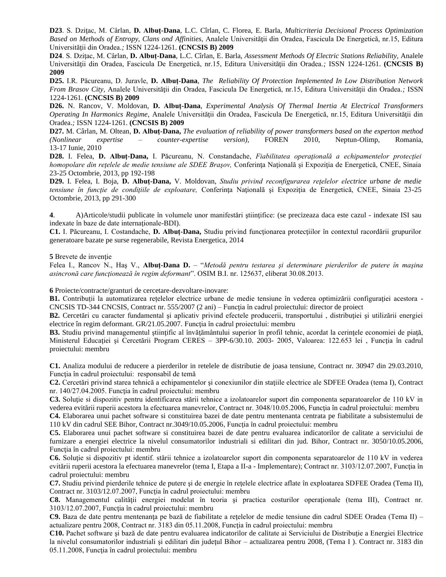**D23**. S. Dziţac, M. Cârlan, **D. Albuţ-Dana**, L.C. Cîrlan, C. Florea, E. Barla, *Multicriteria Decisional Process Optimization Based on Methods of Entropy, Clans ond Affinities*, Analele Universităţii din Oradea, Fascicula De Energetică, nr.15, Editura Universităţii din Oradea.*;* ISSN 1224-1261. **(CNCSIS B) 2009**

**D24**. S. Dziţac, M. Cârlan, **D. Albuţ-Dana**, L.C. Cîrlan, E. Barla, *Assessment Methods Of Electric Stations Reliability,* Analele Universităţii din Oradea, Fascicula De Energetică, nr.15, Editura Universităţii din Oradea.*;* ISSN 1224-1261. **(CNCSIS B) 2009**

**D25.** I.R. Păcureanu, D. Juravle, **D. Albuţ-Dana**, *The Reliability Of Protection Implemented In Low Distribution Network From Brasov City,* Analele Universităţii din Oradea, Fascicula De Energetică, nr.15, Editura Universităţii din Oradea.*;* ISSN 1224-1261. **(CNCSIS B) 2009**

**D26.** N. Rancov, V. Moldovan, **D. Albuţ-Dana**, *Experimental Analysis Of Thermal Inertia At Electrical Transformers Operating In Harmonics Regime*, Analele Universităţii din Oradea, Fascicula De Energetică, nr.15, Editura Universităţii din Oradea.*;* ISSN 1224-1261. **(CNCSIS B) 2009**

**D27.** M. Cârlan, M. Oltean, **D. Albuţ-Dana,** *The evaluation of reliability of power transformers based on the experton method (Nonlinear expertise – counter-expertise version),* FOREN 2010, Neptun-Olimp, Romania, 13-17 Iunie, 2010

**D28.** I. Felea, **D. Albuţ-Dana,** I. Păcureanu, N. Constandache, *Fiabilitatea operaţională a echipamentelor protecţiei homopolare din reţelele de medie tensiune ale SDEE Braşov,* Conferinţa Naţională şi Expoziţia de Energetică, CNEE, Sinaia 23-25 Octombrie, 2013, pp 192-198

**D29.** I. Felea, I. Boja, **D. Albuţ-Dana,** V. Moldovan, *Studiu privind reconfigurarea reţelelor electrice urbane de medie tensiune în funcţie de condiţiile de exploatare,* Conferinţa Naţională şi Expoziţia de Energetică, CNEE, Sinaia 23-25 Octombrie, 2013, pp 291-300

**4**. A)Articole/studii publicate în volumele unor manifestări ştiinţifice: (se precizeaza daca este cazul - indexate ISI sau indexate în baze de date internaţionale-BDI).

**C1.** I. Păcureanu, I. Costandache, **D. Albuţ-Dana,** Studiu privind funcţionarea protecţiilor în contextul racordării grupurilor generatoare bazate pe surse regenerabile, Revista Energetica, 2014

**5** Brevete de inventie

Felea I., Rancov N., Haş V., **Albuţ-Dana D.** – "*Metodă pentru testarea şi determinare pierderilor de putere în maşina asincronă care funcţionează în regim deformant*". OSIM B.I. nr. 125637, eliberat 30.08.2013.

**6** Proiecte/contracte/granturi de cercetare-dezvoltare-inovare:

**B1.** Contribuții la automatizarea rețelelor electrice urbane de medie tensiune în vederea optimizării configurației acestora -CNCSIS TD-344 CNCSIS, Contract nr. 555/2007 (2 ani) – Funcția în cadrul proiectului: director de proiect

**B2.** Cercetări cu caracter fundamental şi aplicativ privind efectele producerii, transportului , distribuţiei şi utilizării energiei electrice în regim deformant. GR/21.05.2007. Funcția în cadrul proiectului: membru

**B3.** Studiu privind managementul ştiinţific al învăţământului superior în profil tehnic, acordat la cerinţele economiei de piaţă, Ministerul Educaţiei şi Cercetării Program CERES – 3PP-6/30.10. 2003- 2005, Valoarea: 122.653 lei , Funcţia în cadrul proiectului: membru

**C1.** Analiza modului de reducere a pierderilor in retelele de distributie de joasa tensiune, Contract nr. 30947 din 29.03.2010, Funcția în cadrul proiectului: responsabil de temă

**C2.** Cercetări privind starea tehnică a echipamentelor și conexiunilor din statiile electrice ale SDFEE Oradea (tema I), Contract nr. 140/27.04.2005. Funcţia în cadrul proiectului: membru

**C3.** Soluţie si dispozitiv pentru identificarea stării tehnice a izolatoarelor suport din componenta separatoarelor de 110 kV in vederea evitării ruperii acestora la efectuarea manevrelor, Contract nr. 3048/10.05.2006, Functia în cadrul proiectului: membru **C4.** Elaborarea unui pachet software si constituirea bazei de date pentru mentenanta centrata pe fiabilitate a subsistemului de 110 kV din cadrul SEE Bihor, Contract nr.3049/10.05.2006, Funcţia în cadrul proiectului: membru

**C5.** Elaborarea unui pachet software si constituirea bazei de date pentru evaluarea indicatorilor de calitate a serviciului de furnizare a energiei electrice la nivelul consumatorilor industriali si edilitari din jud. Bihor, Contract nr. 3050/10.05.2006, Funcţia în cadrul proiectului: membru

**C6.** Soluţie si dispozitiv pt identif. stării tehnice a izolatoarelor suport din componenta separatoarelor de 110 kV in vederea evitării ruperii acestora la efectuarea manevrelor (tema I, Etapa a II-a - Implementare); Contract nr. 3103/12.07.2007, Funcţia în cadrul proiectului: membru

**C7.** Studiu privind pierderile tehnice de putere si de energie în retelele electrice aflate în exploatarea SDFEE Oradea (Tema II), Contract nr. 3103/12.07.2007, Funcția în cadrul proiectului: membru

**C8.** Managementul calităţii energiei modelat în teoria şi practica costurilor operaţionale (tema III), Contract nr. 3103/12.07.2007, Funcţia în cadrul proiectului: membru

**C9.** Baza de date pentru mentenanţa pe bază de fiabilitate a reţelelor de medie tensiune din cadrul SDEE Oradea (Tema II) – actualizare pentru 2008, Contract nr. 3183 din 05.11.2008, Funcția în cadrul proiectului: membru

**C10.** Pachet software şi bază de date pentru evaluarea indicatorilor de calitate ai Serviciului de Distribuţie a Energiei Electrice la nivelul consumatorilor industriali și edilitari din județul Bihor – actualizarea pentru 2008, (Tema I). Contract nr. 3183 din 05.11.2008, Functia în cadrul proiectului: membru